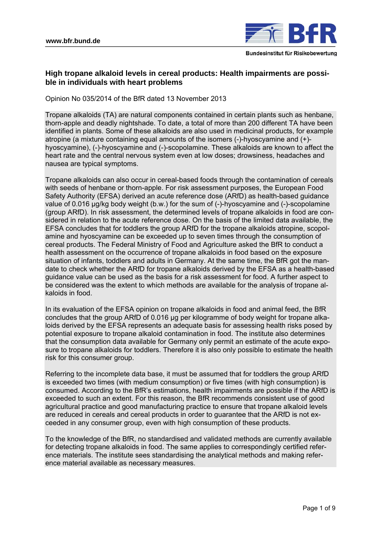

# **High tropane alkaloid levels in cereal products: Health impairments are possible in individuals with heart problems**

Opinion No 035/2014 of the BfR dated 13 November 2013

Tropane alkaloids (TA) are natural components contained in certain plants such as henbane, thorn-apple and deadly nightshade. To date, a total of more than 200 different TA have been identified in plants. Some of these alkaloids are also used in medicinal products, for example atropine (a mixture containing equal amounts of the isomers (-)-hyoscyamine and (+) hyoscyamine), (-)-hyoscyamine and (-)-scopolamine. These alkaloids are known to affect the heart rate and the central nervous system even at low doses; drowsiness, headaches and nausea are typical symptoms.

Tropane alkaloids can also occur in cereal-based foods through the contamination of cereals with seeds of henbane or thorn-apple. For risk assessment purposes, the European Food Safety Authority (EFSA) derived an acute reference dose (ARfD) as health-based guidance value of 0.016 µg/kg body weight (b.w.) for the sum of (-)-hyoscyamine and (-)-scopolamine (group ARfD). In risk assessment, the determined levels of tropane alkaloids in food are considered in relation to the acute reference dose. On the basis of the limited data available, the EFSA concludes that for toddlers the group ARfD for the tropane alkaloids atropine, scopolamine and hyoscyamine can be exceeded up to seven times through the consumption of cereal products. The Federal Ministry of Food and Agriculture asked the BfR to conduct a health assessment on the occurrence of tropane alkaloids in food based on the exposure situation of infants, toddlers and adults in Germany. At the same time, the BfR got the mandate to check whether the ARfD for tropane alkaloids derived by the EFSA as a health-based guidance value can be used as the basis for a risk assessment for food. A further aspect to be considered was the extent to which methods are available for the analysis of tropane alkaloids in food.

In its evaluation of the EFSA opinion on tropane alkaloids in food and animal feed, the BfR concludes that the group ARfD of 0.016 µg per kilogramme of body weight for tropane alkaloids derived by the EFSA represents an adequate basis for assessing health risks posed by potential exposure to tropane alkaloid contamination in food. The institute also determines that the consumption data available for Germany only permit an estimate of the acute exposure to tropane alkaloids for toddlers. Therefore it is also only possible to estimate the health risk for this consumer group.

Referring to the incomplete data base, it must be assumed that for toddlers the group ARfD is exceeded two times (with medium consumption) or five times (with high consumption) is consumed. According to the BfR's estimations, health impairments are possible if the ARfD is exceeded to such an extent. For this reason, the BfR recommends consistent use of good agricultural practice and good manufacturing practice to ensure that tropane alkaloid levels are reduced in cereals and cereal products in order to guarantee that the ARfD is not exceeded in any consumer group, even with high consumption of these products.

To the knowledge of the BfR, no standardised and validated methods are currently available for detecting tropane alkaloids in food. The same applies to correspondingly certified reference materials. The institute sees standardising the analytical methods and making reference material available as necessary measures.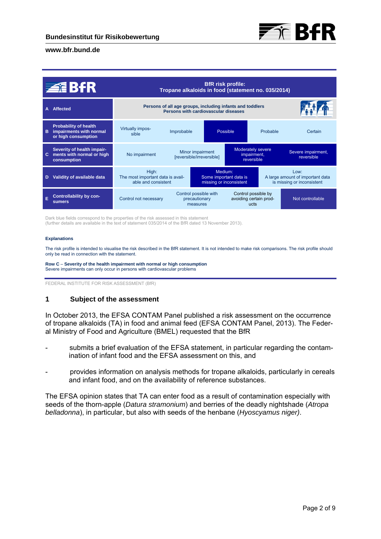

| <b>ZEBAR</b> |                                                                                | <b>BfR</b> risk profile:<br>Tropane alkaloids in food (statement no. 035/2014)                    |                                                    |                                                              |                                                       |          |                                                                        |
|--------------|--------------------------------------------------------------------------------|---------------------------------------------------------------------------------------------------|----------------------------------------------------|--------------------------------------------------------------|-------------------------------------------------------|----------|------------------------------------------------------------------------|
|              | <b>Affected</b>                                                                | Persons of all age groups, including infants and toddlers<br>Persons with cardiovascular diseases |                                                    |                                                              |                                                       |          |                                                                        |
| в            | <b>Probability of health</b><br>impairments with normal<br>or high consumption | Virtually impos-<br>sible                                                                         | Improbable                                         | Possible                                                     |                                                       | Probable | Certain                                                                |
| C.           | Severity of health impair-<br>ments with normal or high<br>consumption         | No impairment                                                                                     | Minor impairment<br>[reversible/irreversible]      |                                                              | Moderately severe<br>impairment,<br>reversible        |          | Severe impairment,<br>reversible                                       |
| D            | Validity of available data                                                     | High:<br>The most important data is avail-<br>able and consistent                                 |                                                    | Medium:<br>Some important data is<br>missing or inconsistent |                                                       |          | Low:<br>A large amount of important data<br>is missing or inconsistent |
|              | <b>Controllability by con-</b><br><b>sumers</b>                                | Control not necessary                                                                             | Control possible with<br>precautionary<br>measures |                                                              | Control possible by<br>avoiding certain prod-<br>ucts |          | Not controllable                                                       |

Dark blue fields correspond to the properties of the risk assessed in this statement (further details are available in the text of statement 035/2014 of the BfR dated 13 November 2013).

#### **Explanations**

The risk profile is intended to visualise the risk described in the BfR statement. It is not intended to make risk comparisons. The risk profile should only be read in connection with the statement.

**Row C** – **Severity of the health impairment with normal or high consumption**  Severe impairments can only occur in persons with cardiovascular problems

FEDERAL INSTITUTE FOR RISK ASSESSMENT (BfR)

### **1 Subject of the assessment**

In October 2013, the EFSA CONTAM Panel published a risk assessment on the occurrence of tropane alkaloids (TA) in food and animal feed (EFSA CONTAM Panel, 2013). The Federal Ministry of Food and Agriculture (BMEL) requested that the BfR

- submits a brief evaluation of the EFSA statement, in particular regarding the contamination of infant food and the EFSA assessment on this, and
- provides information on analysis methods for tropane alkaloids, particularly in cereals and infant food, and on the availability of reference substances.

The EFSA opinion states that TA can enter food as a result of contamination especially with seeds of the thorn-apple (*Datura stramonium*) and berries of the deadly nightshade (*Atropa belladonna*), in particular, but also with seeds of the henbane (*Hyoscyamus niger)*.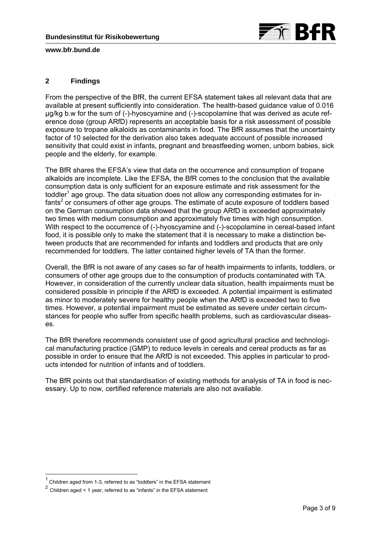

# **2 Findings**

From the perspective of the BfR, the current EFSA statement takes all relevant data that are available at present sufficiently into consideration. The health-based guidance value of 0.016 µg/kg b.w for the sum of (-)-hyoscyamine and (-)-scopolamine that was derived as acute reference dose (group ARfD) represents an acceptable basis for a risk assessment of possible exposure to tropane alkaloids as contaminants in food. The BfR assumes that the uncertainty factor of 10 selected for the derivation also takes adequate account of possible increased sensitivity that could exist in infants, pregnant and breastfeeding women, unborn babies, sick people and the elderly, for example.

The BfR shares the EFSA's view that data on the occurrence and consumption of tropane alkaloids are incomplete. Like the EFSA, the BfR comes to the conclusion that the available consumption data is only sufficient for an exposure estimate and risk assessment for the toddler<sup>1</sup> age group. The data situation does not allow any corresponding estimates for infants<sup>2</sup> or consumers of other age groups. The estimate of acute exposure of toddlers based on the German consumption data showed that the group ARfD is exceeded approximately two times with medium consumption and approximately five times with high consumption. With respect to the occurrence of (-)-hyoscyamine and (-)-scopolamine in cereal-based infant food, it is possible only to make the statement that it is necessary to make a distinction between products that are recommended for infants and toddlers and products that are only recommended for toddlers. The latter contained higher levels of TA than the former.

Overall, the BfR is not aware of any cases so far of health impairments to infants, toddlers, or consumers of other age groups due to the consumption of products contaminated with TA. However, in consideration of the currently unclear data situation, health impairments must be considered possible in principle if the ARfD is exceeded. A potential impairment is estimated as minor to moderately severe for healthy people when the ARfD is exceeded two to five times. However, a potential impairment must be estimated as severe under certain circumstances for people who suffer from specific health problems, such as cardiovascular diseases.

The BfR therefore recommends consistent use of good agricultural practice and technological manufacturing practice (GMP) to reduce levels in cereals and cereal products as far as possible in order to ensure that the ARfD is not exceeded. This applies in particular to products intended for nutrition of infants and of toddlers.

The BfR points out that standardisation of existing methods for analysis of TA in food is necessary. Up to now, certified reference materials are also not available.

-

<sup>1</sup> Children aged from 1-3, referred to as "toddlers" in the EFSA statement

<sup>2</sup> Children aged < 1 year, referred to as "infants" in the EFSA statement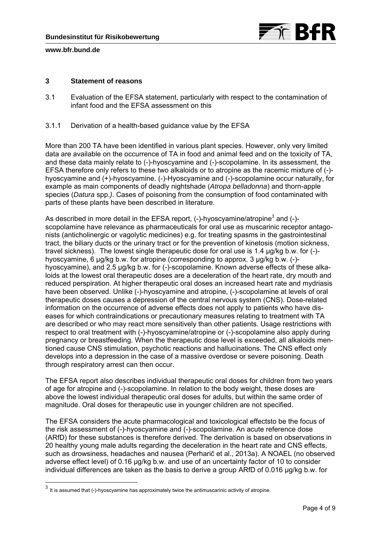

-

# **3 Statement of reasons**

- 3.1 Evaluation of the EFSA statement, particularly with respect to the contamination of infant food and the EFSA assessment on this
- 3.1.1 Derivation of a health-based guidance value by the EFSA

More than 200 TA have been identified in various plant species. However, only very limited data are available on the occurrence of TA in food and animal feed and on the toxicity of TA, and these data mainly relate to (-)-hyoscyamine and (-)-scopolamine. In its assessment, the EFSA therefore only refers to these two alkaloids or to atropine as the racemic mixture of (-) hyoscyamine and (+)-hyoscyamine. (-)-Hyoscyamine and (-)-scopolamine occur naturally, for example as main components of deadly nightshade (*Atropa belladonna*) and thorn-apple species (*Datura* spp.*)*. Cases of poisoning from the consumption of food contaminated with parts of these plants have been described in literature.

As described in more detail in the EFSA report, (-)-hyoscyamine/atropine<sup>3</sup> and (-)scopolamine have relevance as pharmaceuticals for oral use as muscarinic receptor antagonists (anticholinergic or vagolytic medicines) e.g. for treating spasms in the gastrointestinal tract, the biliary ducts or the urinary tract or for the prevention of kinetosis (motion sickness, travel sickness). The lowest single therapeutic dose for oral use is 1.4 μg/kg b.w. for (-) hyoscyamine, 6 μg/kg b.w. for atropine (corresponding to approx. 3 μg/kg b.w. (-) hyoscyamine), and 2.5 μg/kg b.w. for (-)-scopolamine. Known adverse effects of these alkaloids at the lowest oral therapeutic doses are a deceleration of the heart rate, dry mouth and reduced perspiration. At higher therapeutic oral doses an increased heart rate and mydriasis have been observed. Unlike (-)-hyoscyamine and atropine, (-)-scopolamine at levels of oral therapeutic doses causes a depression of the central nervous system (CNS). Dose-related information on the occurrence of adverse effects does not apply to patients who have diseases for which contraindications or precautionary measures relating to treatment with TA are described or who may react more sensitively than other patients. Usage restrictions with respect to oral treatment with (-)-hyoscyamine/atropine or (-)-scopolamine also apply during pregnancy or breastfeeding. When the therapeutic dose level is exceeded, all alkaloids mentioned cause CNS stimulation, psychotic reactions and hallucinations. The CNS effect only develops into a depression in the case of a massive overdose or severe poisoning. Death through respiratory arrest can then occur.

The EFSA report also describes individual therapeutic oral doses for children from two years of age for atropine and (-)-scopolamine. In relation to the body weight, these doses are above the lowest individual therapeutic oral doses for adults, but within the same order of magnitude. Oral doses for therapeutic use in younger children are not specified.

The EFSA considers the acute pharmacological and toxicological effectsto be the focus of the risk assessment of (-)-hyoscyamine and (-)-scopolamine. An acute reference dose (ARfD) for these substances is therefore derived. The derivation is based on observations in 20 healthy young male adults regarding the deceleration in the heart rate and CNS effects, such as drowsiness, headaches and nausea (Perharič et al., 2013a). A NOAEL (no observed adverse effect level) of 0.16 μg/kg b.w. and use of an uncertainty factor of 10 to consider individual differences are taken as the basis to derive a group ARfD of 0.016 μg/kg b.w. for

 $3$  It is assumed that (-)-hyoscyamine has approximately twice the antimuscarinic activity of atropine.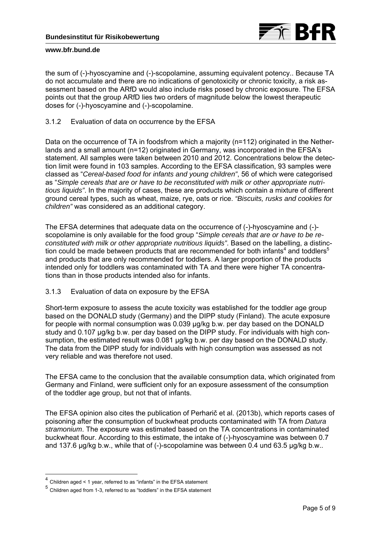

the sum of (-)-hyoscyamine and (-)-scopolamine, assuming equivalent potency.. Because TA do not accumulate and there are no indications of genotoxicity or chronic toxicity, a risk assessment based on the ARfD would also include risks posed by chronic exposure. The EFSA points out that the group ARfD lies two orders of magnitude below the lowest therapeutic doses for (-)-hyoscyamine and (-)-scopolamine.

3.1.2 Evaluation of data on occurrence by the EFSA

Data on the occurrence of TA in foodsfrom which a majority (n=112) originated in the Netherlands and a small amount (n=12) originated in Germany, was incorporated in the EFSA's statement. All samples were taken between 2010 and 2012. Concentrations below the detection limit were found in 103 samples. According to the EFSA classification, 93 samples were classed as "*Cereal-based food for infants and young children"*, 56 of which were categorised as "*Simple cereals that are or have to be reconstituted with milk or other appropriate nutritious liquids"*. In the majority of cases, these are products which contain a mixture of different ground cereal types, such as wheat, maize, rye, oats or rice. *"Biscuits, rusks and cookies for children"* was considered as an additional category.

The EFSA determines that adequate data on the occurrence of (-)-hyoscyamine and (-) scopolamine is only available for the food group "*Simple cereals that are or have to be reconstituted with milk or other appropriate nutritious liquids"*. Based on the labelling, a distinction could be made between products that are recommended for both infants<sup>4</sup> and toddlers<sup>5</sup> and products that are only recommended for toddlers. A larger proportion of the products intended only for toddlers was contaminated with TA and there were higher TA concentrations than in those products intended also for infants.

# 3.1.3 Evaluation of data on exposure by the EFSA

Short-term exposure to assess the acute toxicity was established for the toddler age group based on the DONALD study (Germany) and the DIPP study (Finland). The acute exposure for people with normal consumption was 0.039 μg/kg b.w. per day based on the DONALD study and 0.107 μg/kg b.w. per day based on the DIPP study. For individuals with high consumption, the estimated result was 0.081 μg/kg b.w. per day based on the DONALD study. The data from the DIPP study for individuals with high consumption was assessed as not very reliable and was therefore not used.

The EFSA came to the conclusion that the available consumption data, which originated from Germany and Finland, were sufficient only for an exposure assessment of the consumption of the toddler age group, but not that of infants.

The EFSA opinion also cites the publication of Perharič et al. (2013b), which reports cases of poisoning after the consumption of buckwheat products contaminated with TA from *Datura stramonium*. The exposure was estimated based on the TA concentrations in contaminated buckwheat flour. According to this estimate, the intake of (-)-hyoscyamine was between 0.7 and 137.6 μg/kg b.w., while that of (-)-scopolamine was between 0.4 und 63.5 μg/kg b.w..

-

<sup>4</sup> Children aged < 1 year, referred to as "infants" in the EFSA statement

<sup>5</sup> Children aged from 1-3, referred to as "toddlers" in the EFSA statement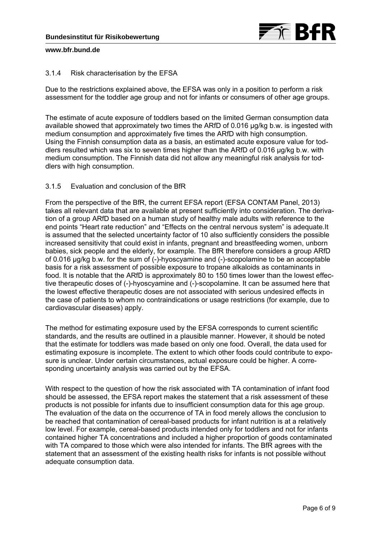

## 3.1.4 Risk characterisation by the EFSA

Due to the restrictions explained above, the EFSA was only in a position to perform a risk assessment for the toddler age group and not for infants or consumers of other age groups.

The estimate of acute exposure of toddlers based on the limited German consumption data available showed that approximately two times the ARfD of 0.016 μg/kg b.w. is ingested with medium consumption and approximately five times the ARfD with high consumption. Using the Finnish consumption data as a basis, an estimated acute exposure value for toddlers resulted which was six to seven times higher than the ARfD of 0.016 μg/kg b.w. with medium consumption. The Finnish data did not allow any meaningful risk analysis for toddlers with high consumption.

# 3.1.5 Evaluation and conclusion of the BfR

From the perspective of the BfR, the current EFSA report (EFSA CONTAM Panel, 2013) takes all relevant data that are available at present sufficiently into consideration. The derivation of a group ARfD based on a human study of healthy male adults with reference to the end points "Heart rate reduction" and "Effects on the central nervous system" is adequate.It is assumed that the selected uncertainty factor of 10 also sufficiently considers the possible increased sensitivity that could exist in infants, pregnant and breastfeeding women, unborn babies, sick people and the elderly, for example. The BfR therefore considers a group ARfD of 0.016 µg/kg b.w. for the sum of (-)-hyoscyamine and (-)-scopolamine to be an acceptable basis for a risk assessment of possible exposure to tropane alkaloids as contaminants in food. It is notable that the ARfD is approximately 80 to 150 times lower than the lowest effective therapeutic doses of (-)-hyoscyamine and (-)-scopolamine. It can be assumed here that the lowest effective therapeutic doses are not associated with serious undesired effects in the case of patients to whom no contraindications or usage restrictions (for example, due to cardiovascular diseases) apply.

The method for estimating exposure used by the EFSA corresponds to current scientific standards, and the results are outlined in a plausible manner. However, it should be noted that the estimate for toddlers was made based on only one food. Overall, the data used for estimating exposure is incomplete. The extent to which other foods could contribute to exposure is unclear. Under certain circumstances, actual exposure could be higher. A corresponding uncertainty analysis was carried out by the EFSA.

With respect to the question of how the risk associated with TA contamination of infant food should be assessed, the EFSA report makes the statement that a risk assessment of these products is not possible for infants due to insufficient consumption data for this age group. The evaluation of the data on the occurrence of TA in food merely allows the conclusion to be reached that contamination of cereal-based products for infant nutrition is at a relatively low level. For example, cereal-based products intended only for toddlers and not for infants contained higher TA concentrations and included a higher proportion of goods contaminated with TA compared to those which were also intended for infants. The BfR agrees with the statement that an assessment of the existing health risks for infants is not possible without adequate consumption data.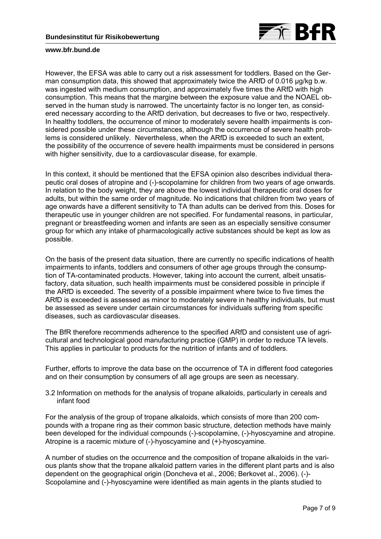

However, the EFSA was able to carry out a risk assessment for toddlers. Based on the German consumption data, this showed that approximately twice the ARfD of 0.016 μg/kg b.w. was ingested with medium consumption, and approximately five times the ARfD with high consumption. This means that the margine between the exposure value and the NOAEL observed in the human study is narrowed. The uncertainty factor is no longer ten, as considered necessary according to the ARfD derivation, but decreases to five or two, respectively. In healthy toddlers, the occurrence of minor to moderately severe health impairments is considered possible under these circumstances, although the occurrence of severe health problems is considered unlikely. Nevertheless, when the ARfD is exceeded to such an extent, the possibility of the occurrence of severe health impairments must be considered in persons with higher sensitivity, due to a cardiovascular disease, for example.

In this context, it should be mentioned that the EFSA opinion also describes individual therapeutic oral doses of atropine and (-)-scopolamine for children from two years of age onwards. In relation to the body weight, they are above the lowest individual therapeutic oral doses for adults, but within the same order of magnitude. No indications that children from two years of age onwards have a different sensitivity to TA than adults can be derived from this. Doses for therapeutic use in younger children are not specified. For fundamental reasons, in particular, pregnant or breastfeeding women and infants are seen as an especially sensitive consumer group for which any intake of pharmacologically active substances should be kept as low as possible.

On the basis of the present data situation, there are currently no specific indications of health impairments to infants, toddlers and consumers of other age groups through the consumption of TA-contaminated products. However, taking into account the current, albeit unsatisfactory, data situation, such health impairments must be considered possible in principle if the ARfD is exceeded. The severity of a possible impairment where twice to five times the ARfD is exceeded is assessed as minor to moderately severe in healthy individuals, but must be assessed as severe under certain circumstances for individuals suffering from specific diseases, such as cardiovascular diseases.

The BfR therefore recommends adherence to the specified ARfD and consistent use of agricultural and technological good manufacturing practice (GMP) in order to reduce TA levels. This applies in particular to products for the nutrition of infants and of toddlers.

Further, efforts to improve the data base on the occurrence of TA in different food categories and on their consumption by consumers of all age groups are seen as necessary.

3.2 Information on methods for the analysis of tropane alkaloids, particularly in cereals and infant food

For the analysis of the group of tropane alkaloids, which consists of more than 200 compounds with a tropane ring as their common basic structure, detection methods have mainly been developed for the individual compounds (-)-scopolamine, (-)-hyoscyamine and atropine. Atropine is a racemic mixture of (-)-hyoscyamine and (+)-hyoscyamine.

A number of studies on the occurrence and the composition of tropane alkaloids in the various plants show that the tropane alkaloid pattern varies in the different plant parts and is also dependent on the geographical origin (Doncheva et al., 2006; Berkovet al., 2006). (-)- Scopolamine and (-)-hyoscyamine were identified as main agents in the plants studied to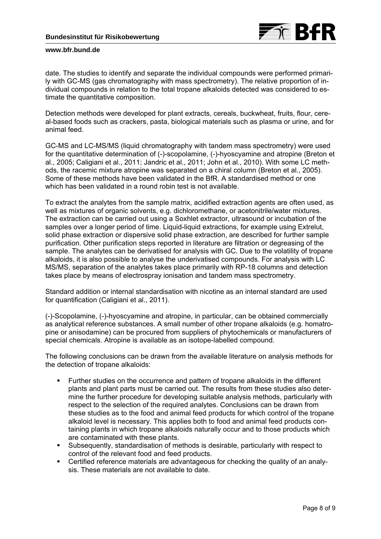

date. The studies to identify and separate the individual compounds were performed primarily with GC-MS (gas chromatography with mass spectrometry). The relative proportion of individual compounds in relation to the total tropane alkaloids detected was considered to estimate the quantitative composition.

Detection methods were developed for plant extracts, cereals, buckwheat, fruits, flour, cereal-based foods such as crackers, pasta, biological materials such as plasma or urine, and for animal feed.

GC-MS and LC-MS/MS (liquid chromatography with tandem mass spectrometry) were used for the quantitative determination of (-)-scopolamine, (-)-hyoscyamine and atropine (Breton et al., 2005; Caligiani et al., 2011; Jandric et al., 2011; John et al., 2010). With some LC methods, the racemic mixture atropine was separated on a chiral column (Breton et al., 2005). Some of these methods have been validated in the BfR. A standardised method or one which has been validated in a round robin test is not available.

To extract the analytes from the sample matrix, acidified extraction agents are often used, as well as mixtures of organic solvents, e.g. dichloromethane, or acetonitrile/water mixtures. The extraction can be carried out using a Soxhlet extractor, ultrasound or incubation of the samples over a longer period of time. Liquid-liquid extractions, for example using Extrelut, solid phase extraction or dispersive solid phase extraction, are described for further sample purification. Other purification steps reported in literature are filtration or degreasing of the sample. The analytes can be derivatised for analysis with GC. Due to the volatility of tropane alkaloids, it is also possible to analyse the underivatised compounds. For analysis with LC MS/MS, separation of the analytes takes place primarily with RP-18 columns and detection takes place by means of electrospray ionisation and tandem mass spectrometry.

Standard addition or internal standardisation with nicotine as an internal standard are used for quantification (Caligiani et al., 2011).

(-)-Scopolamine, (-)-hyoscyamine and atropine, in particular, can be obtained commercially as analytical reference substances. A small number of other tropane alkaloids (e.g. homatropine or anisodamine) can be procured from suppliers of phytochemicals or manufacturers of special chemicals. Atropine is available as an isotope-labelled compound.

The following conclusions can be drawn from the available literature on analysis methods for the detection of tropane alkaloids:

- Further studies on the occurrence and pattern of tropane alkaloids in the different plants and plant parts must be carried out. The results from these studies also determine the further procedure for developing suitable analysis methods, particularly with respect to the selection of the required analytes. Conclusions can be drawn from these studies as to the food and animal feed products for which control of the tropane alkaloid level is necessary. This applies both to food and animal feed products containing plants in which tropane alkaloids naturally occur and to those products which are contaminated with these plants.
- Subsequently, standardisation of methods is desirable, particularly with respect to control of the relevant food and feed products.
- Certified reference materials are advantageous for checking the quality of an analysis. These materials are not available to date.